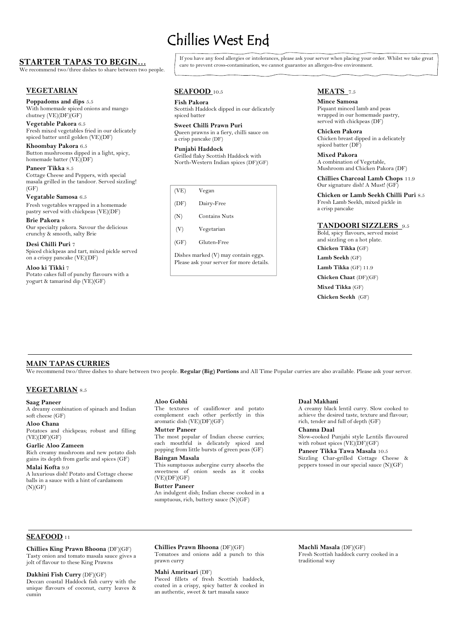# **STARTER TAPAS TO BEGIN…**

We recommend two/three dishes to share between two people.

# **VEGETARIAN**

**Poppadoms and dips** 5.5 With homemade spiced onions and mango chutney (VE)(DF)(GF)

**Paneer Tikka** 8.5 Cottage Cheese and Peppers, with special masala grilled in the tandoor. Served sizzling!  $(GF)$ 

**Vegetable Pakora** 6.5 Fresh mixed vegetables fried in our delicately spiced batter until golden (VE)(DF)

**Khoombay Pakora** 6.5 Button mushrooms dipped in a light, spicy, homemade batter (VE)(DF)

**Fish Pakora** 7.5 **Mince Samosa** 7.5 **Mince Samosa** Scottish Haddock dipped in our delicately spiced batter

**Sweet Chilli Prawn Puri** Queen prawns in a fiery, chilli sauce on a crisp pancake (DF)

**Vegatable Samosa** 6.5 Fresh vegetables wrapped in a homemade pastry served with chickpeas (VE)(DF)

Punjabi Haddock Grilled flaky Scottish Haddock with North-Western Indian spices (DF)(GF)

**Brie Pakora** 8 Our specialty pakora. Savour the delicious crunchy & smooth, salty Brie

**Chicken Pakora** Chicken breast dipped in a delicately spiced batter (DF)

**Mixed Pakora** A combination of Vegetable, Mushroom and Chicken Pakora (DF)

**Desi Chilli Puri** 7 Spiced chickpeas and tart, mixed pickle served on a crispy pancake (VE)(DF)

**Chillies Charcoal Lamb Chops** 11.9 Our signature dish! A Must! (GF)

**Aloo ki Tikki** 7 Potato cakes full of punchy flavours with a yogurt & tamarind dip (VE)(GF)

# **SEAFOOD** 10.5

Potatoes and chickpeas; robust and filling  $(VE)(DF)(GF)$ 

#### **Garlic Aloo Zameen**

# **MEATS** 7.5

Piquant minced lamb and peas wrapped in our homemade pastry, served with chickpeas (DF)

Slow-cooked Punjabi style Lentils flavoured with robust spices (VE)(DF)(GF)

#### **Paneer Tikka Tawa Masala** 10.5

**Aloo Chana** 5.9 aromatic dish (VE)(DF)(GF) The textures of cauliflower and potato complement each other perfectly in this

#### **Mutter Paneer**

**Chicken or Lamb Seekh Chilli Puri** 8.5 6.5 Fresh Lamb Seekh, mixed pickle in a crisp pancake

### **TANDOORI SIZZLERS** 9.5

This sumptuous aubergine curry absorbs the sweetness of onion seeds as it cooks  $(VE)(DF)(GF)$ 

Bold, spicy flavours, served moist and sizzling on a hot plate. **Chicken Tikka (**GF) **Lamb Seekh** (GF) **Lamb Tikka** (GF) 11.9 **Chicken Chaat** (DF)(GF) **Mixed Tikka** (GF) **Chicken Seekh** (GF)

**Butter Paneer** An indulgent dish; Indian cheese cooked in a sumptuous, rich, buttery sauce (N)(GF)

If you have any food allergies or intolerances, please ask your server when placing your order. Whilst we take great care to prevent cross-contamination, we cannot guarantee an allergen-free environment.

# Chillies West End

# **VEGETARIAN** 8.5

#### **Saag Paneer** 6.5 Aloo Gobhi

A dreamy combination of spinach and Indian soft cheese (GF)

Rich creamy mushroom and new potato dish gains its depth from garlic and spices (GF)

#### **Malai Kofta** 9.9

A luxurious dish! Potato and Cottage cheese balls in a sauce with a hint of cardamom

# **MAIN TAPAS CURRIES**

We recommend two/three dishes to share between two people. Regular (Big) Portions and All Time Popular curries are also available. Please ask your server.

A creamy black lentil curry. Slow cooked to achieve the desired taste, texture and flavour; rich, tender and full of depth (GF)

#### **Channa Daal**

### **Daal Makhani** 6.5 **Aloo Gobhi** 5.9

Sizzling Char-grilled Cottage Cheese & peppers tossed in our special sauce (N)(GF)

 $(N)(GF)$ 

The most popular of Indian cheese curries; each mouthful is delicately spiced and popping from little bursts of green peas (GF)

#### **Baingan Masala**

# **SEAFOOD** 11

**Chillies King Prawn Bhoona** (DF)(GF) Tasty onion and tomato masala sauce gives a jolt of flavour to these King Prawns

**Dakhini Fish Curry** (DF)(GF) Deccan coastal Haddock fish curry with the unique flavours of coconut, curry leaves & cumin

#### **Chillies Prawn Bhoona** (DF)(GF)

Tomatoes and onions add a punch to this prawn curry

#### **Mahi Amritsari** (DF)

Pieced fillets of fresh Scottish haddock, coated in a crispy, spicy batter & cooked in an authentic, sweet & tart masala sauce

#### **Machli Masala** (DF)(GF)

Fresh Scottish haddock curry cooked in a traditional way

- (VE) Vegan (DF) Dairy-Free
- (N) Contains Nuts
- 
- (V) Vegetarian
- (GF) Gluten-Free

Dishes marked (V) may contain eggs. Please ask your server for more details.